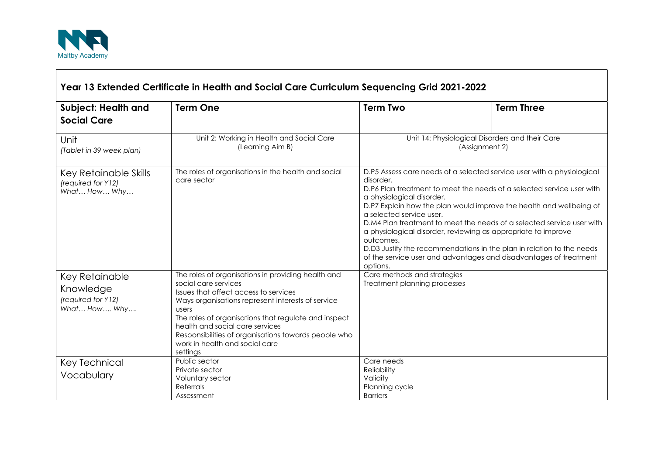

ा

| <b>Subject: Health and</b><br><b>Social Care</b>                  | <b>Term One</b>                                                                                                                                                                                                                                                                                                                                                                    | <b>Term Two</b>                                                                                                                                                                                                                                                                                                                                                                                                                                                                                                                                                                                               | <b>Term Three</b> |
|-------------------------------------------------------------------|------------------------------------------------------------------------------------------------------------------------------------------------------------------------------------------------------------------------------------------------------------------------------------------------------------------------------------------------------------------------------------|---------------------------------------------------------------------------------------------------------------------------------------------------------------------------------------------------------------------------------------------------------------------------------------------------------------------------------------------------------------------------------------------------------------------------------------------------------------------------------------------------------------------------------------------------------------------------------------------------------------|-------------------|
| Unit<br>(Tablet in 39 week plan)                                  | Unit 2: Working in Health and Social Care<br>(Learning Aim B)                                                                                                                                                                                                                                                                                                                      | Unit 14: Physiological Disorders and their Care<br>(Assignment 2)                                                                                                                                                                                                                                                                                                                                                                                                                                                                                                                                             |                   |
| Key Retainable Skills<br>(required for Y12)<br>What How Why       | The roles of organisations in the health and social<br>care sector                                                                                                                                                                                                                                                                                                                 | D.P5 Assess care needs of a selected service user with a physiological<br>disorder.<br>D.P6 Plan treatment to meet the needs of a selected service user with<br>a physiological disorder.<br>D.P7 Explain how the plan would improve the health and wellbeing of<br>a selected service user.<br>D.M4 Plan treatment to meet the needs of a selected service user with<br>a physiological disorder, reviewing as appropriate to improve<br>outcomes.<br>D.D3 Justify the recommendations in the plan in relation to the needs<br>of the service user and advantages and disadvantages of treatment<br>options. |                   |
| Key Retainable<br>Knowledge<br>(required for Y12)<br>What How Why | The roles of organisations in providing health and<br>social care services<br>Issues that affect access to services<br>Ways organisations represent interests of service<br>users<br>The roles of organisations that regulate and inspect<br>health and social care services<br>Responsibilities of organisations towards people who<br>work in health and social care<br>settings | Care methods and strategies<br>Treatment planning processes                                                                                                                                                                                                                                                                                                                                                                                                                                                                                                                                                   |                   |
| Key Technical<br>Vocabulary                                       | Public sector<br>Private sector<br>Voluntary sector<br>Referrals<br>Assessment                                                                                                                                                                                                                                                                                                     | Care needs<br>Reliability<br>Validity<br>Planning cycle<br><b>Barriers</b>                                                                                                                                                                                                                                                                                                                                                                                                                                                                                                                                    |                   |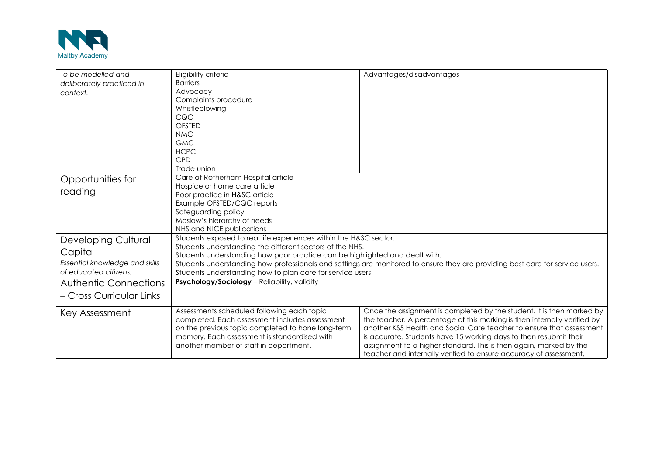

| To be modelled and<br>deliberately practiced in<br>context.                                        | Eligibility criteria<br><b>Barriers</b><br>Advocacy<br>Complaints procedure<br>Whistleblowing<br>CQC<br><b>OFSTED</b><br><b>NMC</b><br><b>GMC</b><br><b>HCPC</b><br>CPD                                                                                                                                                                                                                | Advantages/disadvantages                                                                                                                                                                                                                                                                                                                                                                                                                  |  |
|----------------------------------------------------------------------------------------------------|----------------------------------------------------------------------------------------------------------------------------------------------------------------------------------------------------------------------------------------------------------------------------------------------------------------------------------------------------------------------------------------|-------------------------------------------------------------------------------------------------------------------------------------------------------------------------------------------------------------------------------------------------------------------------------------------------------------------------------------------------------------------------------------------------------------------------------------------|--|
| Opportunities for<br>reading<br><b>Developing Cultural</b>                                         | Trade union<br>Care at Rotherham Hospital article<br>Hospice or home care article<br>Poor practice in H&SC article<br>Example OFSTED/CQC reports<br>Safeguarding policy<br>Maslow's hierarchy of needs<br>NHS and NICE publications<br>Students exposed to real life experiences within the H&SC sector.                                                                               |                                                                                                                                                                                                                                                                                                                                                                                                                                           |  |
| Capital<br>Essential knowledge and skills<br>of educated citizens.<br><b>Authentic Connections</b> | Students understanding the different sectors of the NHS.<br>Students understanding how poor practice can be highlighted and dealt with.<br>Students understanding how professionals and settings are monitored to ensure they are providing best care for service users.<br>Students understanding how to plan care for service users.<br>Psychology/Sociology - Reliability, validity |                                                                                                                                                                                                                                                                                                                                                                                                                                           |  |
| – Cross Curricular Links                                                                           |                                                                                                                                                                                                                                                                                                                                                                                        |                                                                                                                                                                                                                                                                                                                                                                                                                                           |  |
| Key Assessment                                                                                     | Assessments scheduled following each topic<br>completed. Each assessment includes assessment<br>on the previous topic completed to hone long-term<br>memory. Each assessment is standardised with<br>another member of staff in department.                                                                                                                                            | Once the assignment is completed by the student, it is then marked by<br>the teacher. A percentage of this marking is then internally verified by<br>another KS5 Health and Social Care teacher to ensure that assessment<br>is accurate. Students have 15 working days to then resubmit their<br>assignment to a higher standard. This is then again, marked by the<br>teacher and internally verified to ensure accuracy of assessment. |  |